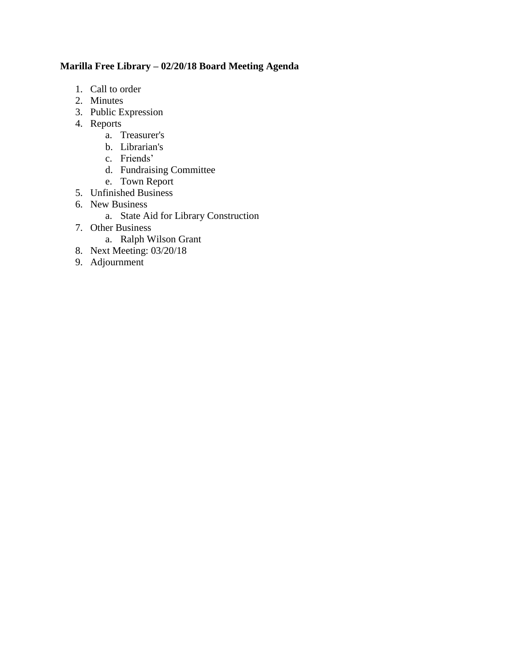# **Marilla Free Library – 02/20/18 Board Meeting Agenda**

- 1. Call to order
- 2. Minutes
- 3. Public Expression
- 4. Reports
	- a. Treasurer's
	- b. Librarian's
	- c. Friends'
	- d. Fundraising Committee
	- e. Town Report
- 5. Unfinished Business
- 6. New Business
	- a. State Aid for Library Construction
- 7. Other Business
	- a. Ralph Wilson Grant
- 8. Next Meeting: 03/20/18
- 9. Adjournment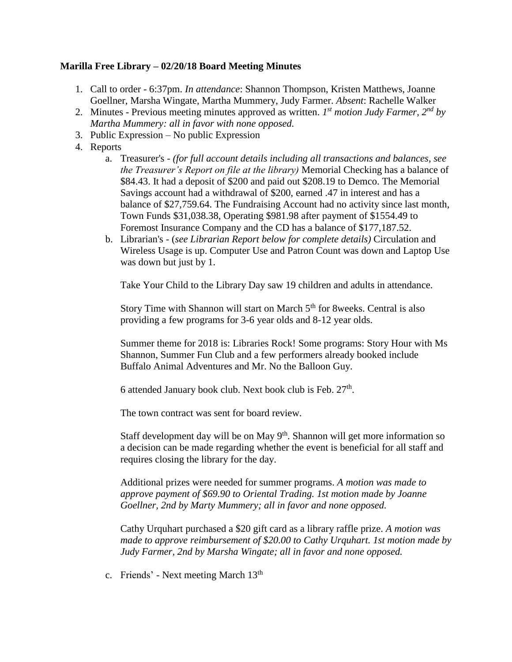## **Marilla Free Library – 02/20/18 Board Meeting Minutes**

- 1. Call to order 6:37pm. *In attendance*: Shannon Thompson, Kristen Matthews, Joanne Goellner, Marsha Wingate, Martha Mummery, Judy Farmer. *Absent*: Rachelle Walker
- 2. Minutes Previous meeting minutes approved as written. *I*<sup>st</sup> motion Judy Farmer, 2<sup>nd</sup> by *Martha Mummery: all in favor with none opposed.*
- 3. Public Expression No public Expression
- 4. Reports
	- a. Treasurer's *(for full account details including all transactions and balances, see the Treasurer's Report on file at the library)* Memorial Checking has a balance of \$84.43. It had a deposit of \$200 and paid out \$208.19 to Demco. The Memorial Savings account had a withdrawal of \$200, earned .47 in interest and has a balance of \$27,759.64. The Fundraising Account had no activity since last month, Town Funds \$31,038.38, Operating \$981.98 after payment of \$1554.49 to Foremost Insurance Company and the CD has a balance of \$177,187.52.
	- b. Librarian's (*see Librarian Report below for complete details)* Circulation and Wireless Usage is up. Computer Use and Patron Count was down and Laptop Use was down but just by 1.

Take Your Child to the Library Day saw 19 children and adults in attendance.

Story Time with Shannon will start on March  $5<sup>th</sup>$  for 8weeks. Central is also providing a few programs for 3-6 year olds and 8-12 year olds.

Summer theme for 2018 is: Libraries Rock! Some programs: Story Hour with Ms Shannon, Summer Fun Club and a few performers already booked include Buffalo Animal Adventures and Mr. No the Balloon Guy.

6 attended January book club. Next book club is Feb.  $27<sup>th</sup>$ .

The town contract was sent for board review.

Staff development day will be on May 9<sup>th</sup>. Shannon will get more information so a decision can be made regarding whether the event is beneficial for all staff and requires closing the library for the day.

Additional prizes were needed for summer programs. *A motion was made to approve payment of \$69.90 to Oriental Trading. 1st motion made by Joanne Goellner, 2nd by Marty Mummery; all in favor and none opposed.*

Cathy Urquhart purchased a \$20 gift card as a library raffle prize. *A motion was made to approve reimbursement of \$20.00 to Cathy Urquhart. 1st motion made by Judy Farmer, 2nd by Marsha Wingate; all in favor and none opposed.*

c. Friends' - Next meeting March 13<sup>th</sup>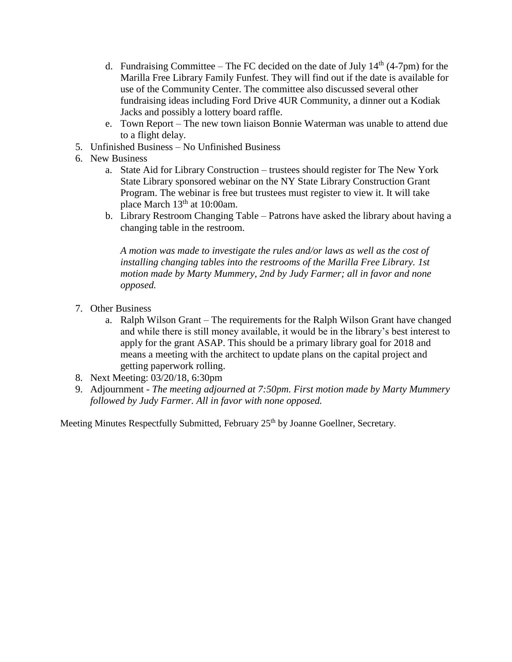- d. Fundraising Committee The FC decided on the date of July  $14<sup>th</sup>$  (4-7pm) for the Marilla Free Library Family Funfest. They will find out if the date is available for use of the Community Center. The committee also discussed several other fundraising ideas including Ford Drive 4UR Community, a dinner out a Kodiak Jacks and possibly a lottery board raffle.
- e. Town Report The new town liaison Bonnie Waterman was unable to attend due to a flight delay.
- 5. Unfinished Business No Unfinished Business
- 6. New Business
	- a. State Aid for Library Construction trustees should register for The New York State Library sponsored webinar on the NY State Library Construction Grant Program. The webinar is free but trustees must register to view it. It will take place March 13<sup>th</sup> at 10:00am.
	- b. Library Restroom Changing Table Patrons have asked the library about having a changing table in the restroom.

*A motion was made to investigate the rules and/or laws as well as the cost of installing changing tables into the restrooms of the Marilla Free Library. 1st motion made by Marty Mummery, 2nd by Judy Farmer; all in favor and none opposed.*

- 7. Other Business
	- a. Ralph Wilson Grant The requirements for the Ralph Wilson Grant have changed and while there is still money available, it would be in the library's best interest to apply for the grant ASAP. This should be a primary library goal for 2018 and means a meeting with the architect to update plans on the capital project and getting paperwork rolling.
- 8. Next Meeting: 03/20/18, 6:30pm
- 9. Adjournment *The meeting adjourned at 7:50pm. First motion made by Marty Mummery followed by Judy Farmer. All in favor with none opposed.*

Meeting Minutes Respectfully Submitted, February 25<sup>th</sup> by Joanne Goellner, Secretary.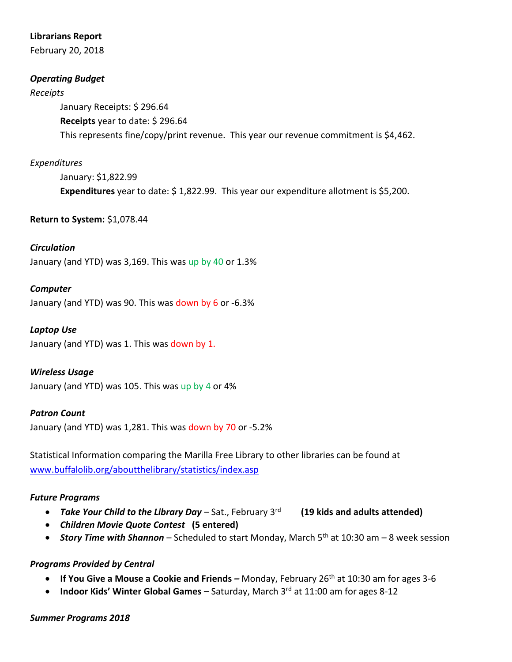## **Librarians Report**

February 20, 2018

# *Operating Budget*

#### *Receipts*

January Receipts: \$ 296.64 **Receipts** year to date: \$ 296.64 This represents fine/copy/print revenue. This year our revenue commitment is \$4,462.

# *Expenditures*

January: \$1,822.99 **Expenditures** year to date: \$ 1,822.99. This year our expenditure allotment is \$5,200.

## **Return to System:** \$1,078.44

# *Circulation*

January (and YTD) was 3,169. This was up by 40 or 1.3%

## *Computer*

January (and YTD) was 90. This was down by 6 or -6.3%

## *Laptop Use*

January (and YTD) was 1. This was down by 1.

#### *Wireless Usage*

January (and YTD) was 105. This was up by 4 or 4%

#### *Patron Count*

January (and YTD) was 1,281. This was down by 70 or -5.2%

Statistical Information comparing the Marilla Free Library to other libraries can be found at [www.buffalolib.org/aboutthelibrary/statistics/index.asp](http://www.buffalolib.org/aboutthelibrary/statistics/index.asp)

#### *Future Programs*

- Take Your Child to the Library Day Sat., February 3<sup>rd</sup> (19 kids and adults attended)
- *Children Movie Quote Contest* **(5 entered)**
- **Story Time with Shannon** Scheduled to start Monday, March 5<sup>th</sup> at 10:30 am 8 week session

#### *Programs Provided by Central*

- **If You Give a Mouse a Cookie and Friends –** Monday, February 26<sup>th</sup> at 10:30 am for ages 3-6
- **Indoor Kids' Winter Global Games Saturday, March 3rd at 11:00 am for ages 8-12**

#### *Summer Programs 2018*